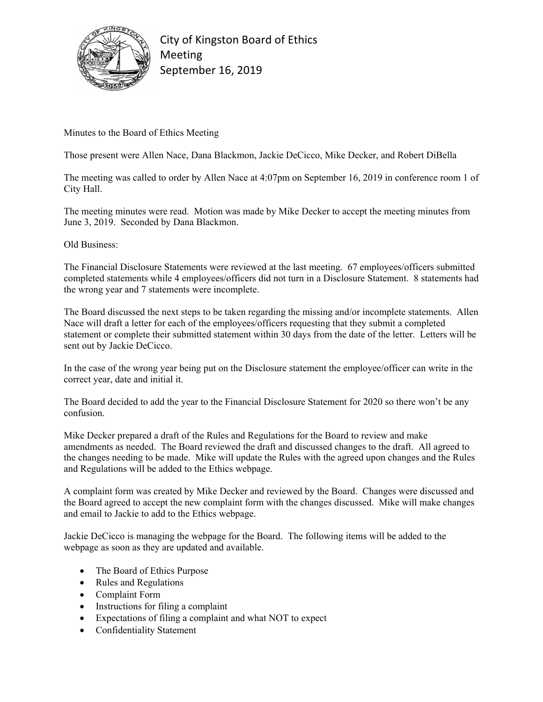

City of Kingston Board of Ethics Meeting September 16, 2019

Minutes to the Board of Ethics Meeting

Those present were Allen Nace, Dana Blackmon, Jackie DeCicco, Mike Decker, and Robert DiBella

The meeting was called to order by Allen Nace at 4:07pm on September 16, 2019 in conference room 1 of City Hall.

The meeting minutes were read. Motion was made by Mike Decker to accept the meeting minutes from June 3, 2019. Seconded by Dana Blackmon.

Old Business:

The Financial Disclosure Statements were reviewed at the last meeting. 67 employees/officers submitted completed statements while 4 employees/officers did not turn in a Disclosure Statement. 8 statements had the wrong year and 7 statements were incomplete.

The Board discussed the next steps to be taken regarding the missing and/or incomplete statements. Allen Nace will draft a letter for each of the employees/officers requesting that they submit a completed statement or complete their submitted statement within 30 days from the date of the letter. Letters will be sent out by Jackie DeCicco.

In the case of the wrong year being put on the Disclosure statement the employee/officer can write in the correct year, date and initial it.

The Board decided to add the year to the Financial Disclosure Statement for 2020 so there won't be any confusion.

Mike Decker prepared a draft of the Rules and Regulations for the Board to review and make amendments as needed. The Board reviewed the draft and discussed changes to the draft. All agreed to the changes needing to be made. Mike will update the Rules with the agreed upon changes and the Rules and Regulations will be added to the Ethics webpage.

A complaint form was created by Mike Decker and reviewed by the Board. Changes were discussed and the Board agreed to accept the new complaint form with the changes discussed. Mike will make changes and email to Jackie to add to the Ethics webpage.

Jackie DeCicco is managing the webpage for the Board. The following items will be added to the webpage as soon as they are updated and available.

- The Board of Ethics Purpose
- Rules and Regulations
- Complaint Form
- Instructions for filing a complaint
- Expectations of filing a complaint and what NOT to expect
- Confidentiality Statement